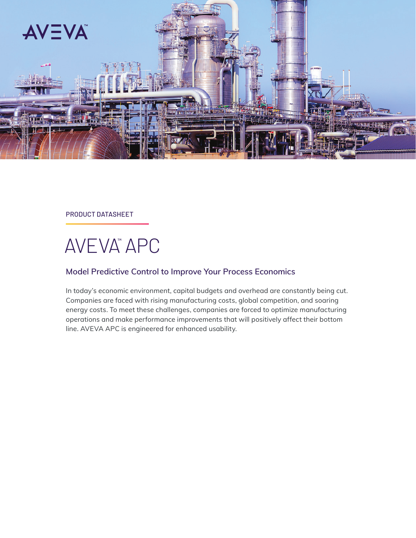

PRODUCT DATASHEET

# AVEVA™ APC

#### **Model Predictive Control to Improve Your Process Economics**

In today's economic environment, capital budgets and overhead are constantly being cut. Companies are faced with rising manufacturing costs, global competition, and soaring energy costs. To meet these challenges, companies are forced to optimize manufacturing operations and make performance improvements that will positively affect their bottom line. AVEVA APC is engineered for enhanced usability.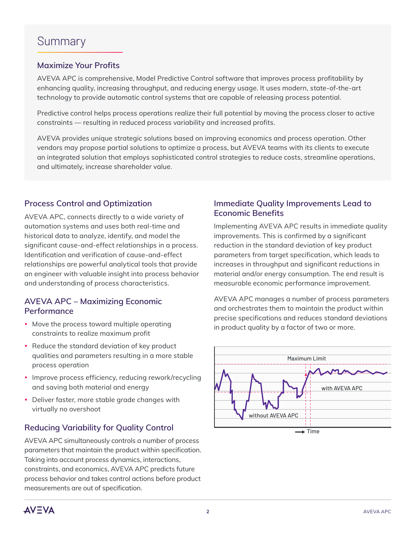## **Maximize Your Profits**

AVEVA APC is comprehensive, Model Predictive Control software that improves process profitability by enhancing quality, increasing throughput, and reducing energy usage. It uses modern, state-of-the-art technology to provide automatic control systems that are capable of releasing process potential.

Predictive control helps process operations realize their full potential by moving the process closer to active constraints — resulting in reduced process variability and increased profits.

AVEVA provides unique strategic solutions based on improving economics and process operation. Other vendors may propose partial solutions to optimize a process, but AVEVA teams with its clients to execute an integrated solution that employs sophisticated control strategies to reduce costs, streamline operations, and ultimately, increase shareholder value.

## **Process Control and Optimization**

AVEVA APC, connects directly to a wide variety of automation systems and uses both real-time and historical data to analyze, identify, and model the significant cause-and-effect relationships in a process. Identification and verification of cause-and-effect relationships are powerful analytical tools that provide an engineer with valuable insight into process behavior and understanding of process characteristics.

#### **AVEVA APC – Maximizing Economic Performance**

- Move the process toward multiple operating constraints to realize maximum profit
- Reduce the standard deviation of key product qualities and parameters resulting in a more stable process operation
- Improve process efficiency, reducing rework/recycling and saving both material and energy
- Deliver faster, more stable grade changes with virtually no overshoot

## **Reducing Variability for Quality Control**

AVEVA APC simultaneously controls a number of process parameters that maintain the product within specification. Taking into account process dynamics, interactions, constraints, and economics, AVEVA APC predicts future process behavior and takes control actions before product measurements are out of specification.

## **Immediate Quality Improvements Lead to Economic Benefits**

Implementing AVEVA APC results in immediate quality improvements. This is confirmed by a significant reduction in the standard deviation of key product parameters from target specification, which leads to increases in throughput and significant reductions in material and/or energy consumption. The end result is measurable economic performance improvement.

AVEVA APC manages a number of process parameters and orchestrates them to maintain the product within precise specifications and reduces standard deviations in product quality by a factor of two or more.



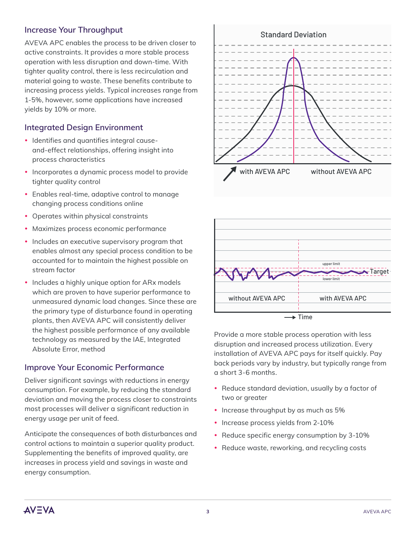## **Increase Your Throughput**

AVEVA APC enables the process to be driven closer to active constraints. It provides a more stable process operation with less disruption and down-time. With tighter quality control, there is less recirculation and material going to waste. These benefits contribute to increasing process yields. Typical increases range from 1-5%, however, some applications have increased yields by 10% or more.

## **Integrated Design Environment**

- Identifies and quantifies integral causeand-effect relationships, offering insight into process characteristics
- Incorporates a dynamic process model to provide tighter quality control
- Enables real-time, adaptive control to manage changing process conditions online
- Operates within physical constraints
- Maximizes process economic performance
- Includes an executive supervisory program that enables almost any special process condition to be accounted for to maintain the highest possible on stream factor
- Includes a highly unique option for ARx models which are proven to have superior performance to unmeasured dynamic load changes. Since these are the primary type of disturbance found in operating plants, then AVEVA APC will consistently deliver the highest possible performance of any available technology as measured by the IAE, Integrated Absolute Error, method

#### **Improve Your Economic Performance**

Deliver significant savings with reductions in energy consumption. For example, by reducing the standard deviation and moving the process closer to constraints most processes will deliver a significant reduction in energy usage per unit of feed.

Anticipate the consequences of both disturbances and control actions to maintain a superior quality product. Supplementing the benefits of improved quality, are increases in process yield and savings in waste and energy consumption.





Provide a more stable process operation with less disruption and increased process utilization. Every installation of AVEVA APC pays for itself quickly. Pay back periods vary by industry, but typically range from a short 3-6 months.

- Reduce standard deviation, usually by a factor of two or greater
- Increase throughput by as much as 5%
- Increase process yields from 2-10%
- Reduce specific energy consumption by 3-10%
- Reduce waste, reworking, and recycling costs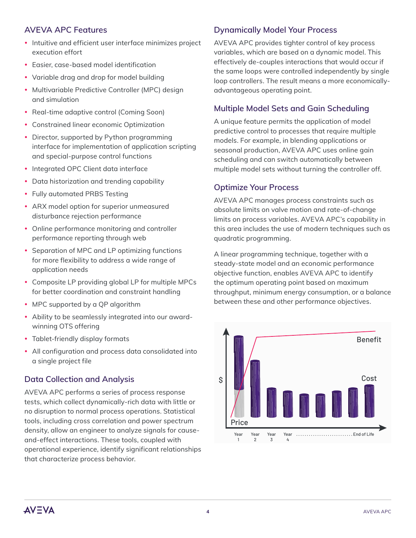## **AVEVA APC Features**

- Intuitive and efficient user interface minimizes project execution effort
- Fasier, case-based model identification
- Variable drag and drop for model building
- Multivariable Predictive Controller (MPC) design and simulation
- Real-time adaptive control (Coming Soon)
- Constrained linear economic Optimization
- Director, supported by Python programming interface for implementation of application scripting and special-purpose control functions
- Integrated OPC Client data interface
- Data historization and trending capability
- Fully automated PRBS Testing
- ARX model option for superior unmeasured disturbance rejection performance
- Online performance monitoring and controller performance reporting through web
- Separation of MPC and LP optimizing functions for more flexibility to address a wide range of application needs
- Composite LP providing global LP for multiple MPCs for better coordination and constraint handling
- MPC supported by a QP algorithm
- Ability to be seamlessly integrated into our awardwinning OTS offering
- Tablet-friendly display formats
- All configuration and process data consolidated into a single project file

## **Data Collection and Analysis**

AVEVA APC performs a series of process response tests, which collect dynamically-rich data with little or no disruption to normal process operations. Statistical tools, including cross correlation and power spectrum density, allow an engineer to analyze signals for causeand-effect interactions. These tools, coupled with operational experience, identify significant relationships that characterize process behavior.

## **Dynamically Model Your Process**

AVEVA APC provides tighter control of key process variables, which are based on a dynamic model. This effectively de-couples interactions that would occur if the same loops were controlled independently by single loop controllers. The result means a more economicallyadvantageous operating point.

## **Multiple Model Sets and Gain Scheduling**

A unique feature permits the application of model predictive control to processes that require multiple models. For example, in blending applications or seasonal production, AVEVA APC uses online gain scheduling and can switch automatically between multiple model sets without turning the controller off.

#### **Optimize Your Process**

AVEVA APC manages process constraints such as absolute limits on valve motion and rate-of-change limits on process variables. AVEVA APC's capability in this area includes the use of modern techniques such as quadratic programming.

A linear programming technique, together with a steady-state model and an economic performance objective function, enables AVEVA APC to identify the optimum operating point based on maximum throughput, minimum energy consumption, or a balance between these and other performance objectives.